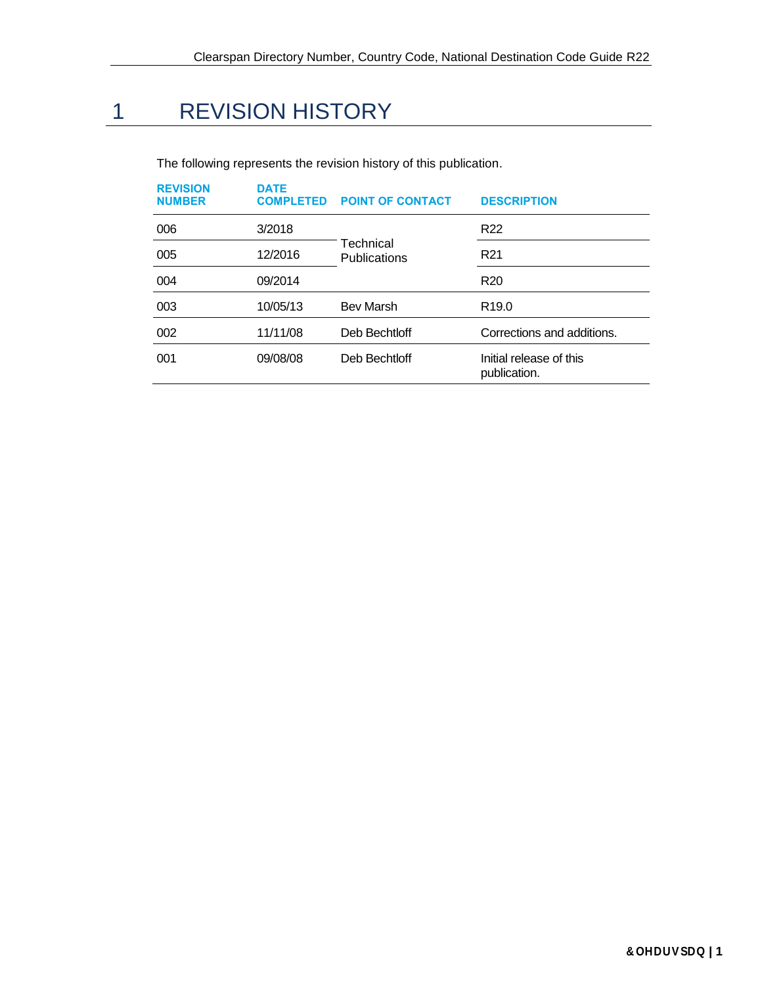# 1 REVISION HISTORY

| <b>REVISION</b><br><b>NUMBER</b> | <b>DATE</b><br><b>COMPLETED</b> | <b>POINT OF CONTACT</b>          | <b>DESCRIPTION</b>                      |
|----------------------------------|---------------------------------|----------------------------------|-----------------------------------------|
| 006                              | 3/2018                          | <b>GBBDQ</b>                     | R <sub>22</sub>                         |
| 005                              | 12/2016                         | Technical<br><b>Publications</b> | R <sub>21</sub>                         |
| 004                              | 09/2014                         |                                  | R <sub>20</sub>                         |
| 003                              | 10/05/13                        | <b>Bev Marsh</b>                 | R <sub>19.0</sub>                       |
| 002                              | 11/11/08                        | Deb Bechtloff                    | Corrections and additions.              |
| 001                              | 09/08/08                        | Deb Bechtloff                    | Initial release of this<br>publication. |

The following represents the revision history of this publication.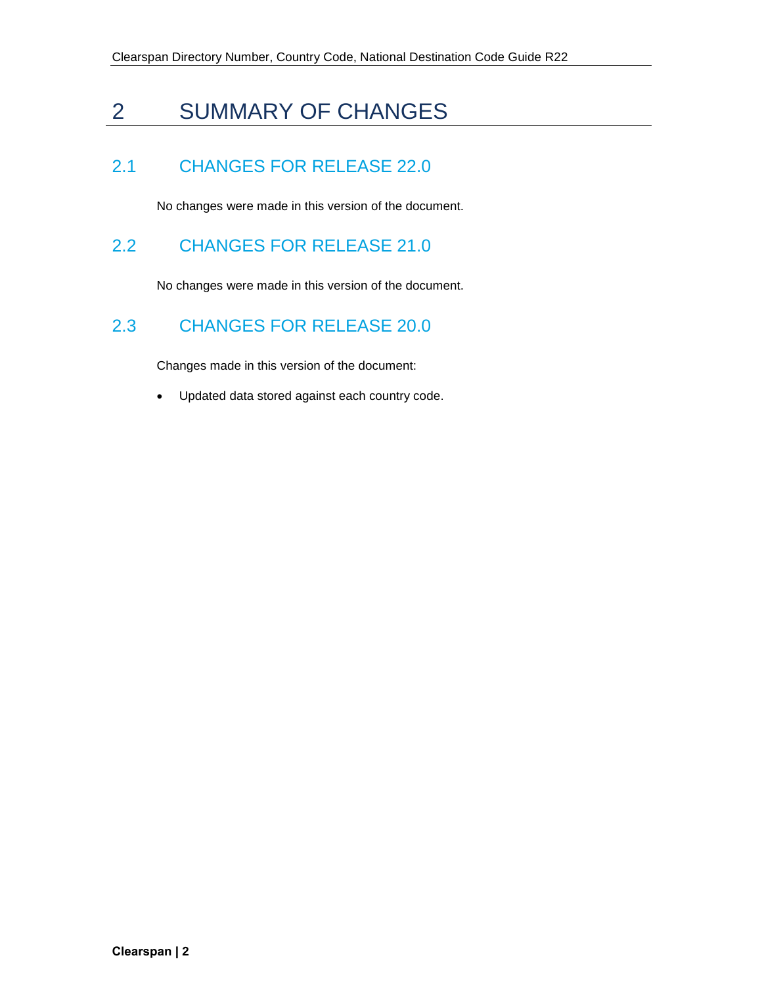## 2 SUMMARY OF CHANGES

### 2.1 CHANGES FOR RELEASE 22.0

No changes were made in this version of the document.

### 2.2 CHANGES FOR RELEASE 21.0

No changes were made in this version of the document.

#### 2.3 CHANGES FOR RELEASE 20.0

Changes made in this version of the document:

• Updated data stored against each country code.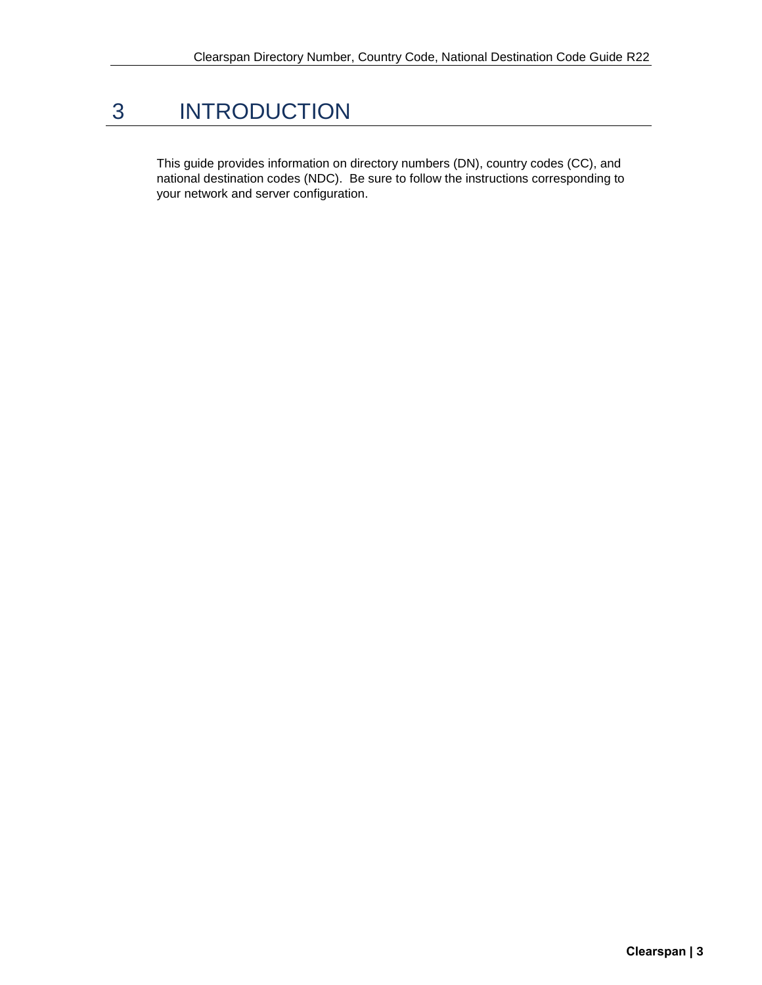## 3 INTRODUCTION

This guide provides information on directory numbers (DN), country codes (CC), and national destination codes (NDC). Be sure to follow the instructions corresponding to your network and server configuration.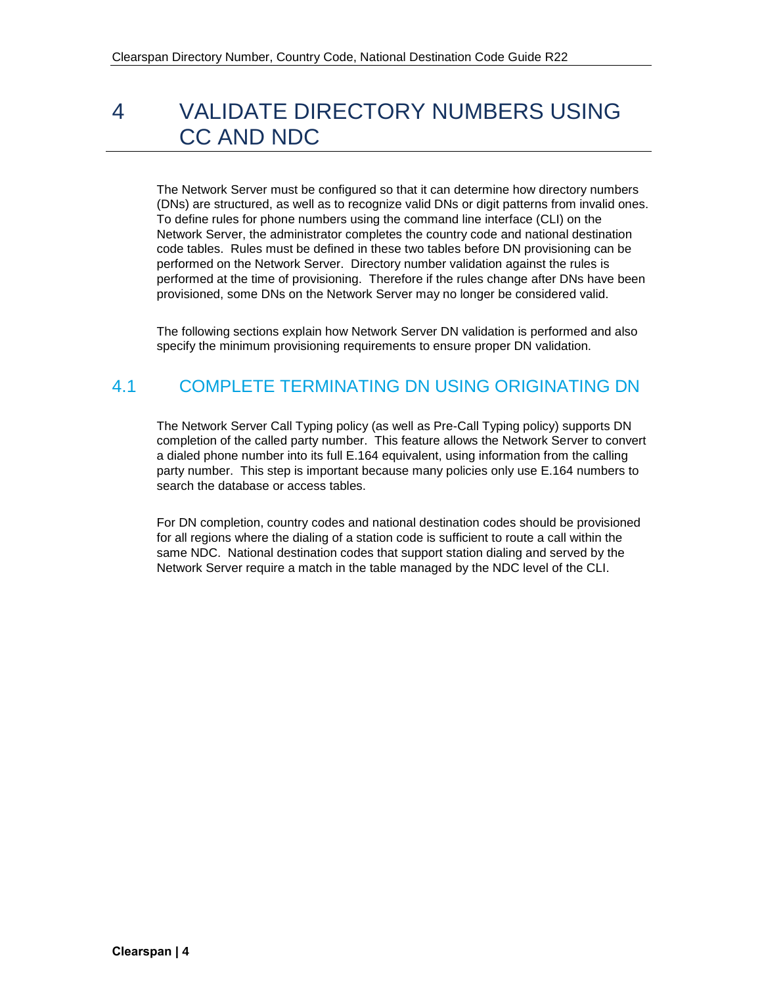## 4 VALIDATE DIRECTORY NUMBERS USING CC AND NDC

The Network Server must be configured so that it can determine how directory numbers (DNs) are structured, as well as to recognize valid DNs or digit patterns from invalid ones. To define rules for phone numbers using the command line interface (CLI) on the Network Server, the administrator completes the country code and national destination code tables. Rules must be defined in these two tables before DN provisioning can be performed on the Network Server. Directory number validation against the rules is performed at the time of provisioning. Therefore if the rules change after DNs have been provisioned, some DNs on the Network Server may no longer be considered valid.

The following sections explain how Network Server DN validation is performed and also specify the minimum provisioning requirements to ensure proper DN validation.

### 4.1 COMPLETE TERMINATING DN USING ORIGINATING DN

The Network Server Call Typing policy (as well as Pre-Call Typing policy) supports DN completion of the called party number. This feature allows the Network Server to convert a dialed phone number into its full E.164 equivalent, using information from the calling party number. This step is important because many policies only use E.164 numbers to search the database or access tables.

For DN completion, country codes and national destination codes should be provisioned for all regions where the dialing of a station code is sufficient to route a call within the same NDC. National destination codes that support station dialing and served by the Network Server require a match in the table managed by the NDC level of the CLI.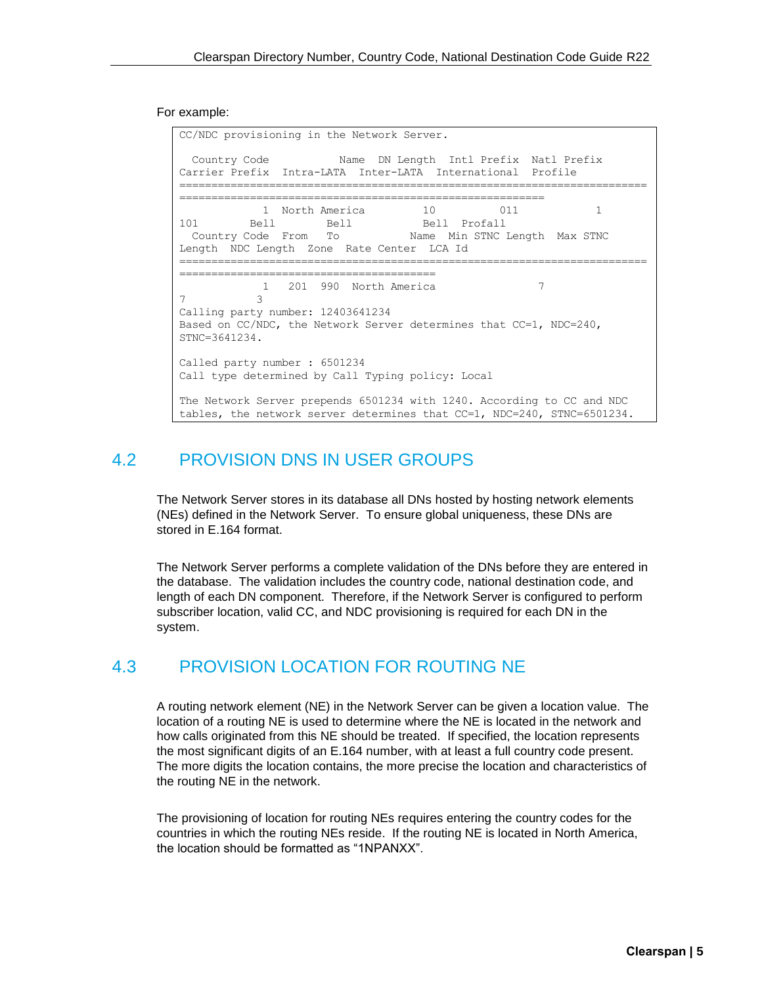For example:

CC/NDC provisioning in the Network Server. Country Code Mame DN Length Intl Prefix Natl Prefix Carrier Prefix Intra-LATA Inter-LATA International Profile ========================================================================= ========================================================= 1 North America 10 011 1 101 Bell Bell Bell Bell Profall Country Code From To Name Min STNC Length Max STNC Length NDC Length Zone Rate Center LCA Id ========================================================================= ======================================== 1 201 990 North America 7 7 3 Calling party number: 12403641234 Based on CC/NDC, the Network Server determines that CC=1, NDC=240, STNC=3641234. Called party number : 6501234 Call type determined by Call Typing policy: Local The Network Server prepends 6501234 with 1240. According to CC and NDC tables, the network server determines that CC=1, NDC=240, STNC=6501234.

#### 4.2 PROVISION DNS IN USER GROUPS

The Network Server stores in its database all DNs hosted by hosting network elements (NEs) defined in the Network Server. To ensure global uniqueness, these DNs are stored in E.164 format.

The Network Server performs a complete validation of the DNs before they are entered in the database. The validation includes the country code, national destination code, and length of each DN component. Therefore, if the Network Server is configured to perform subscriber location, valid CC, and NDC provisioning is required for each DN in the system.

#### 4.3 PROVISION LOCATION FOR ROUTING NE

A routing network element (NE) in the Network Server can be given a location value. The location of a routing NE is used to determine where the NE is located in the network and how calls originated from this NE should be treated. If specified, the location represents the most significant digits of an E.164 number, with at least a full country code present. The more digits the location contains, the more precise the location and characteristics of the routing NE in the network.

The provisioning of location for routing NEs requires entering the country codes for the countries in which the routing NEs reside. If the routing NE is located in North America, the location should be formatted as "1NPANXX".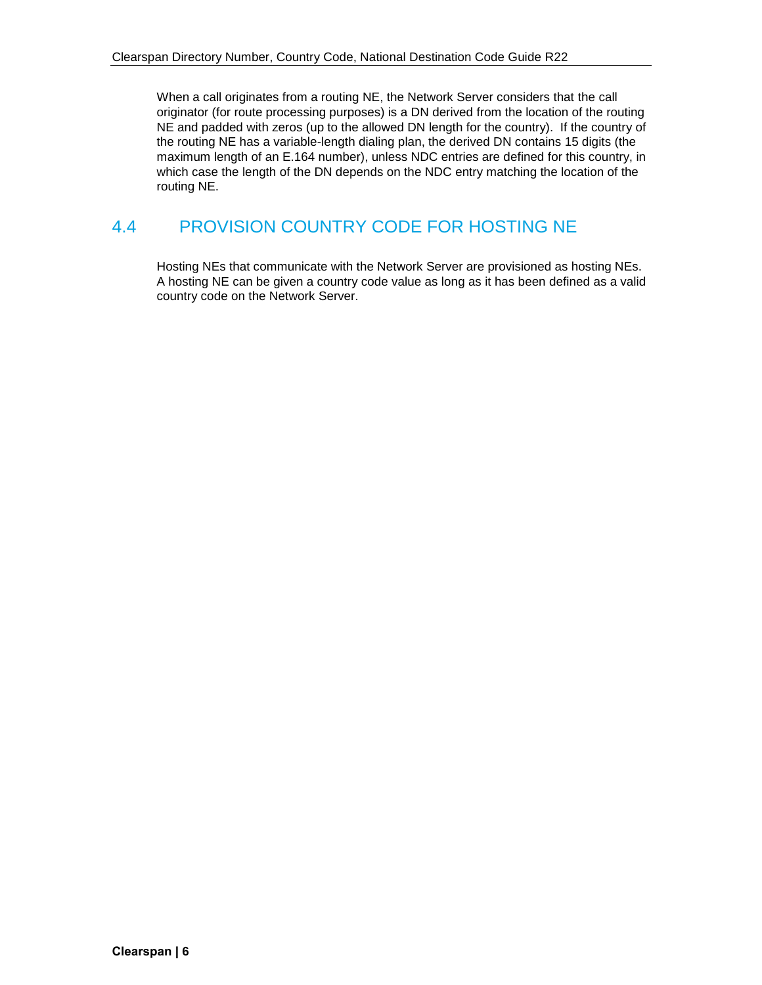When a call originates from a routing NE, the Network Server considers that the call originator (for route processing purposes) is a DN derived from the location of the routing NE and padded with zeros (up to the allowed DN length for the country). If the country of the routing NE has a variable-length dialing plan, the derived DN contains 15 digits (the maximum length of an E.164 number), unless NDC entries are defined for this country, in which case the length of the DN depends on the NDC entry matching the location of the routing NE.

#### 4.4 PROVISION COUNTRY CODE FOR HOSTING NE

Hosting NEs that communicate with the Network Server are provisioned as hosting NEs. A hosting NE can be given a country code value as long as it has been defined as a valid country code on the Network Server.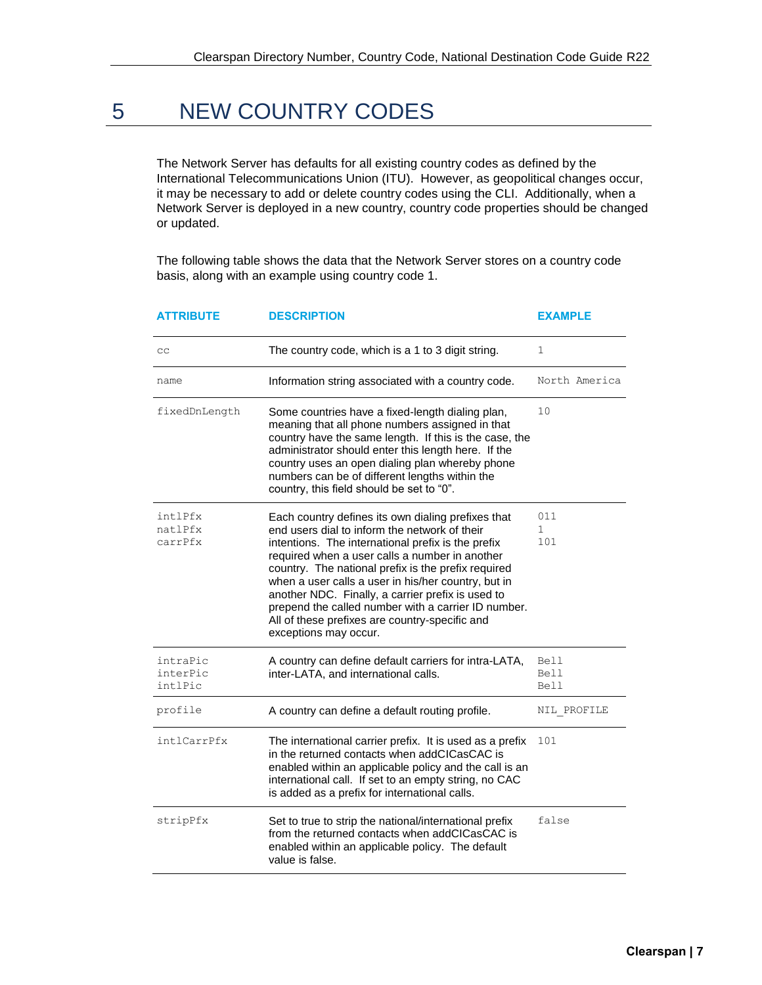### 5 NEW COUNTRY CODES

The Network Server has defaults for all existing country codes as defined by the International Telecommunications Union (ITU). However, as geopolitical changes occur, it may be necessary to add or delete country codes using the CLI. Additionally, when a Network Server is deployed in a new country, country code properties should be changed or updated.

The following table shows the data that the Network Server stores on a country code basis, along with an example using country code 1.

| ATTRIBUTE                       | <b>DESCRIPTION</b>                                                                                                                                                                                                                                                                                                                                                                                                                                                                                               | <b>EXAMPLE</b>             |  |
|---------------------------------|------------------------------------------------------------------------------------------------------------------------------------------------------------------------------------------------------------------------------------------------------------------------------------------------------------------------------------------------------------------------------------------------------------------------------------------------------------------------------------------------------------------|----------------------------|--|
| cc                              | The country code, which is a 1 to 3 digit string.                                                                                                                                                                                                                                                                                                                                                                                                                                                                | 1                          |  |
| name                            | Information string associated with a country code.                                                                                                                                                                                                                                                                                                                                                                                                                                                               | North America              |  |
| fixedDnLength                   | Some countries have a fixed-length dialing plan,<br>meaning that all phone numbers assigned in that<br>country have the same length. If this is the case, the<br>administrator should enter this length here. If the<br>country uses an open dialing plan whereby phone<br>numbers can be of different lengths within the<br>country, this field should be set to "0".                                                                                                                                           | 10                         |  |
| intlPfx<br>natlPfx<br>carrPfx   | Each country defines its own dialing prefixes that<br>end users dial to inform the network of their<br>intentions. The international prefix is the prefix<br>required when a user calls a number in another<br>country. The national prefix is the prefix required<br>when a user calls a user in his/her country, but in<br>another NDC. Finally, a carrier prefix is used to<br>prepend the called number with a carrier ID number.<br>All of these prefixes are country-specific and<br>exceptions may occur. | 011<br>$\mathbf{1}$<br>101 |  |
| intraPic<br>interPic<br>intlPic | A country can define default carriers for intra-LATA,<br>inter-LATA, and international calls.                                                                                                                                                                                                                                                                                                                                                                                                                    | Bell<br>Bell<br>Bell       |  |
| profile                         | A country can define a default routing profile.                                                                                                                                                                                                                                                                                                                                                                                                                                                                  | NIL PROFILE                |  |
| intlCarrPfx                     | The international carrier prefix. It is used as a prefix<br>in the returned contacts when addCICasCAC is<br>enabled within an applicable policy and the call is an<br>international call. If set to an empty string, no CAC<br>is added as a prefix for international calls.                                                                                                                                                                                                                                     | 101                        |  |
| stripPfx                        | Set to true to strip the national/international prefix<br>from the returned contacts when addCICasCAC is<br>enabled within an applicable policy. The default<br>value is false.                                                                                                                                                                                                                                                                                                                                  | false                      |  |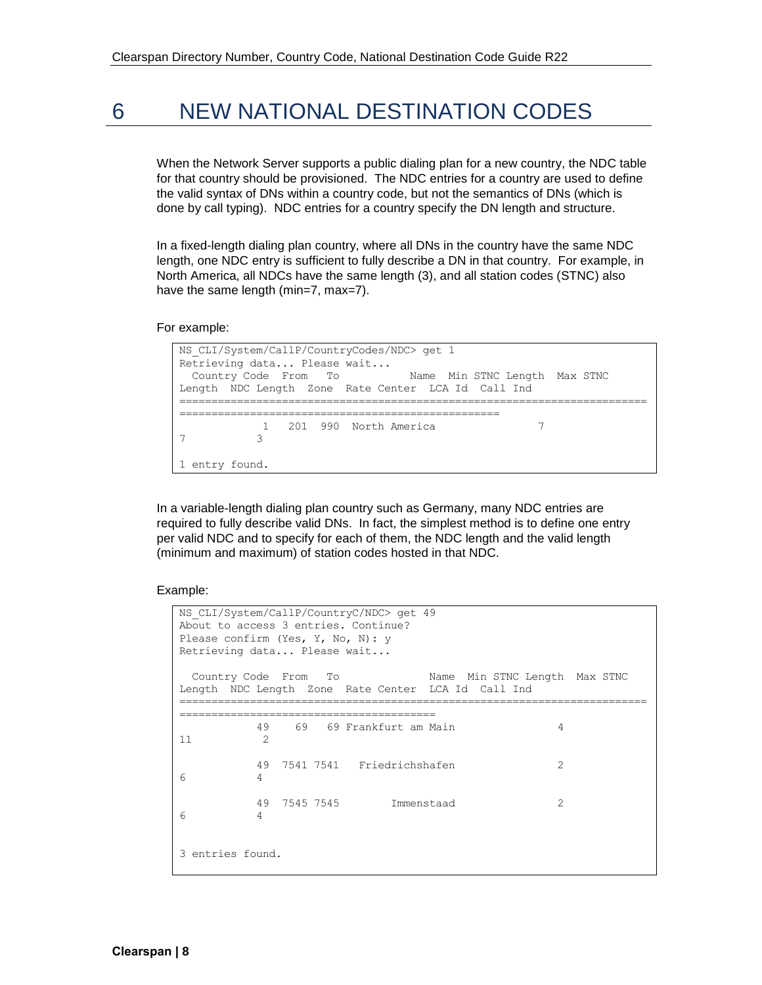### 6 NEW NATIONAL DESTINATION CODES

When the Network Server supports a public dialing plan for a new country, the NDC table for that country should be provisioned. The NDC entries for a country are used to define the valid syntax of DNs within a country code, but not the semantics of DNs (which is done by call typing). NDC entries for a country specify the DN length and structure.

In a fixed-length dialing plan country, where all DNs in the country have the same NDC length, one NDC entry is sufficient to fully describe a DN in that country. For example, in North America, all NDCs have the same length (3), and all station codes (STNC) also have the same length (min=7, max=7).

For example:

```
NS_CLI/System/CallP/CountryCodes/NDC> get 1
Retrieving data... Please wait...
 Country Code From To Name Min STNC Length Max STNC 
Length NDC Length Zone Rate Center LCA Id Call Ind 
=========================================================================
==================================================
           1 201 990 North America 7 
7 3
1 entry found.
```
In a variable-length dialing plan country such as Germany, many NDC entries are required to fully describe valid DNs. In fact, the simplest method is to define one entry per valid NDC and to specify for each of them, the NDC length and the valid length (minimum and maximum) of station codes hosted in that NDC.

Example:

```
NS_CLI/System/CallP/CountryC/NDC> get 49
About to access 3 entries. Continue?
Please confirm (Yes, Y, No, N): y
Retrieving data... Please wait...
 Country Code From To Name Min STNC Length Max STNC 
Length NDC Length Zone Rate Center LCA Id Call Ind
=========================================================================
========================================
        49 69 69 Frankfurt am Main 4
11 2
        49 7541 7541 Friedrichshafen 2
6 4
        49 7545 7545 Immenstaad 2
6 4
3 entries found.
```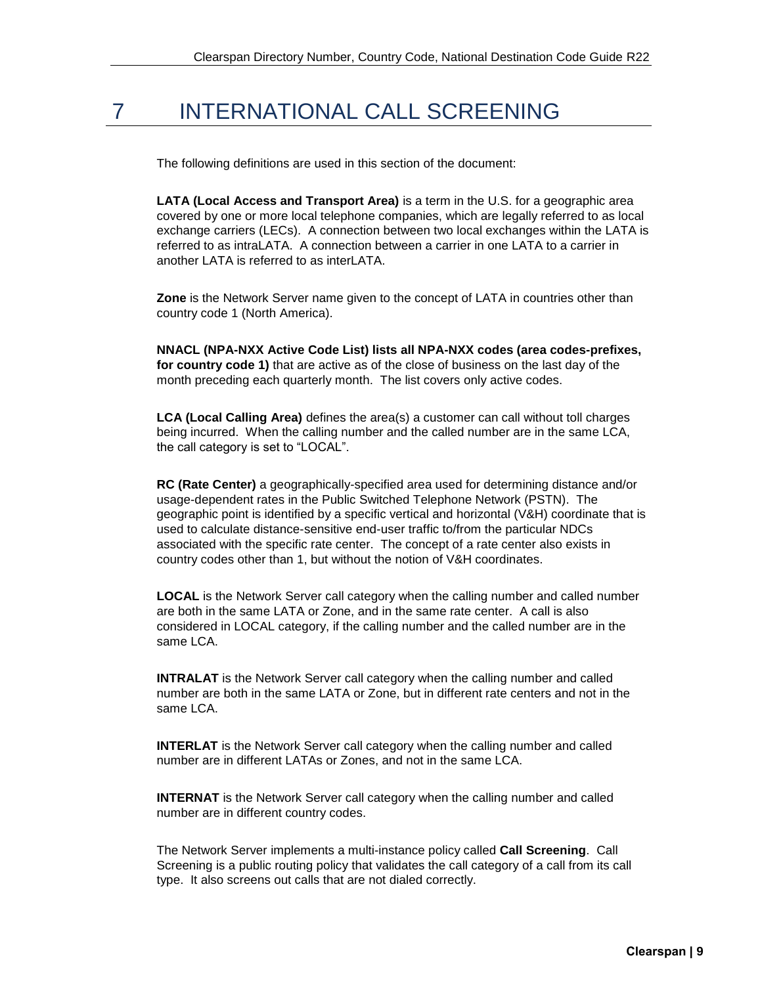### 7 INTERNATIONAL CALL SCREENING

The following definitions are used in this section of the document:

**LATA (Local Access and Transport Area)** is a term in the U.S. for a geographic area covered by one or more local telephone companies, which are legally referred to as local exchange carriers (LECs). A connection between two local exchanges within the LATA is referred to as intraLATA. A connection between a carrier in one LATA to a carrier in another LATA is referred to as interLATA.

**Zone** is the Network Server name given to the concept of LATA in countries other than country code 1 (North America).

**NNACL (NPA-NXX Active Code List) lists all NPA-NXX codes (area codes-prefixes, for country code 1)** that are active as of the close of business on the last day of the month preceding each quarterly month. The list covers only active codes.

**LCA (Local Calling Area)** defines the area(s) a customer can call without toll charges being incurred. When the calling number and the called number are in the same LCA, the call category is set to "LOCAL".

**RC (Rate Center)** a geographically-specified area used for determining distance and/or usage-dependent rates in the Public Switched Telephone Network (PSTN). The geographic point is identified by a specific vertical and horizontal (V&H) coordinate that is used to calculate distance-sensitive end-user traffic to/from the particular NDCs associated with the specific rate center. The concept of a rate center also exists in country codes other than 1, but without the notion of V&H coordinates.

**LOCAL** is the Network Server call category when the calling number and called number are both in the same LATA or Zone, and in the same rate center. A call is also considered in LOCAL category, if the calling number and the called number are in the same LCA.

**INTRALAT** is the Network Server call category when the calling number and called number are both in the same LATA or Zone, but in different rate centers and not in the same LCA.

**INTERLAT** is the Network Server call category when the calling number and called number are in different LATAs or Zones, and not in the same LCA.

**INTERNAT** is the Network Server call category when the calling number and called number are in different country codes.

The Network Server implements a multi-instance policy called **Call Screening**. Call Screening is a public routing policy that validates the call category of a call from its call type. It also screens out calls that are not dialed correctly.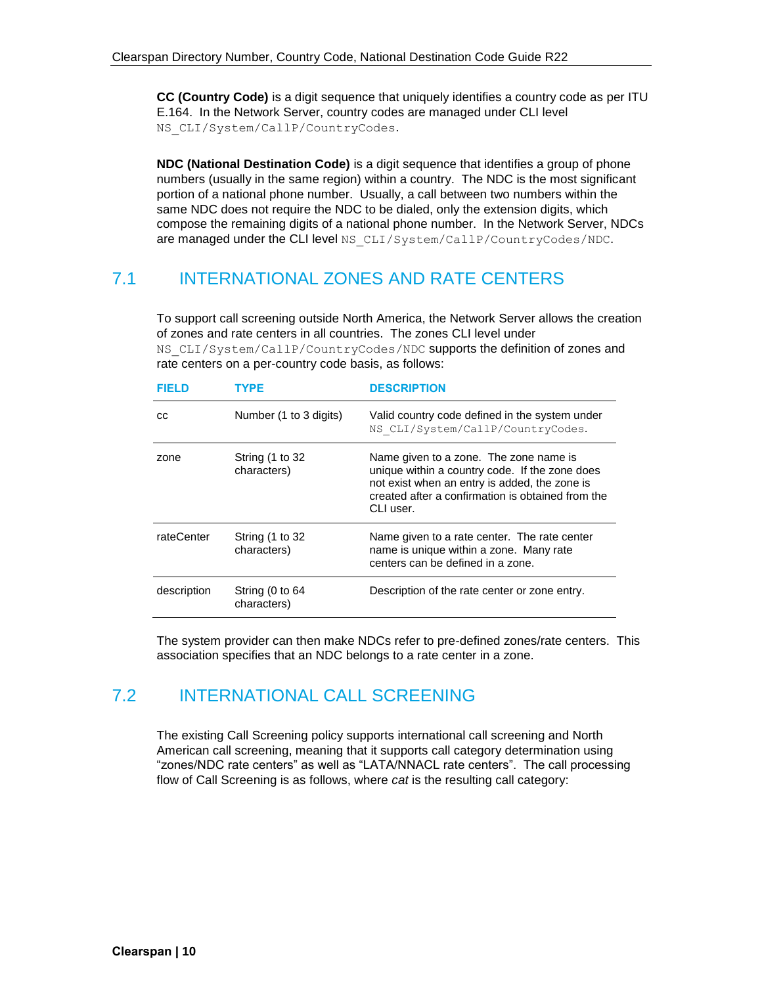**CC (Country Code)** is a digit sequence that uniquely identifies a country code as per ITU E.164. In the Network Server, country codes are managed under CLI level NS\_CLI/System/CallP/CountryCodes.

**NDC (National Destination Code)** is a digit sequence that identifies a group of phone numbers (usually in the same region) within a country. The NDC is the most significant portion of a national phone number. Usually, a call between two numbers within the same NDC does not require the NDC to be dialed, only the extension digits, which compose the remaining digits of a national phone number. In the Network Server, NDCs are managed under the CLI level NS\_CLI/System/CallP/CountryCodes/NDC.

#### 7.1 INTERNATIONAL ZONES AND RATE CENTERS

To support call screening outside North America, the Network Server allows the creation of zones and rate centers in all countries. The zones CLI level under NS CLI/System/CallP/CountryCodes/NDC supports the definition of zones and rate centers on a per-country code basis, as follows:

| <b>FIELD</b> | TYPE                           | <b>DESCRIPTION</b>                                                                                                                                                                                          |
|--------------|--------------------------------|-------------------------------------------------------------------------------------------------------------------------------------------------------------------------------------------------------------|
| СC           | Number (1 to 3 digits)         | Valid country code defined in the system under<br>NS CLI/System/CallP/CountryCodes.                                                                                                                         |
| zone         | String (1 to 32<br>characters) | Name given to a zone. The zone name is<br>unique within a country code. If the zone does<br>not exist when an entry is added, the zone is<br>created after a confirmation is obtained from the<br>CLI user. |
| rateCenter   | String (1 to 32<br>characters) | Name given to a rate center. The rate center<br>name is unique within a zone. Many rate<br>centers can be defined in a zone.                                                                                |
| description  | String (0 to 64<br>characters) | Description of the rate center or zone entry.                                                                                                                                                               |

The system provider can then make NDCs refer to pre-defined zones/rate centers. This association specifies that an NDC belongs to a rate center in a zone.

#### 7.2 INTERNATIONAL CALL SCREENING

The existing Call Screening policy supports international call screening and North American call screening, meaning that it supports call category determination using "zones/NDC rate centers" as well as "LATA/NNACL rate centers". The call processing flow of Call Screening is as follows, where *cat* is the resulting call category: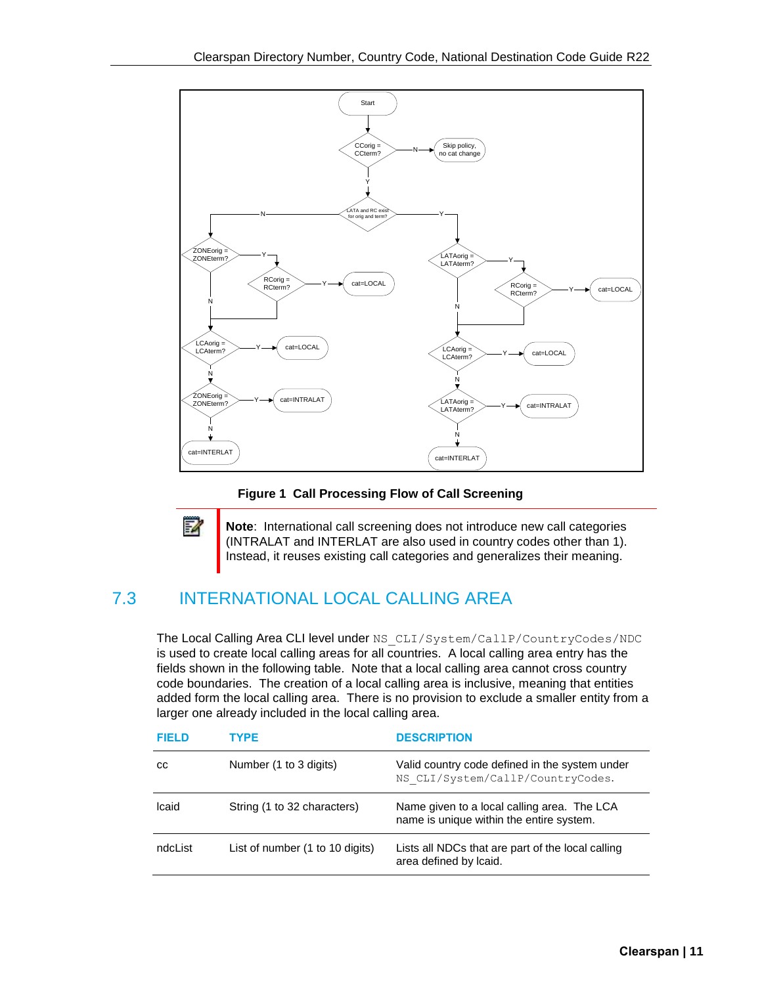

**Figure 1 Call Processing Flow of Call Screening**

F2 **Note**: International call screening does not introduce new call categories (INTRALAT and INTERLAT are also used in country codes other than 1). Instead, it reuses existing call categories and generalizes their meaning.

#### 7.3 INTERNATIONAL LOCAL CALLING AREA

The Local Calling Area CLI level under NS\_CLI/System/CallP/CountryCodes/NDC is used to create local calling areas for all countries. A local calling area entry has the fields shown in the following table. Note that a local calling area cannot cross country code boundaries. The creation of a local calling area is inclusive, meaning that entities added form the local calling area. There is no provision to exclude a smaller entity from a larger one already included in the local calling area.

| FIFI D   | TYPE                            | <b>DESCRIPTION</b>                                                                      |
|----------|---------------------------------|-----------------------------------------------------------------------------------------|
| CС       | Number (1 to 3 digits)          | Valid country code defined in the system under<br>NS CLI/System/CallP/CountryCodes.     |
| Icaid    | String (1 to 32 characters)     | Name given to a local calling area. The LCA<br>name is unique within the entire system. |
| ndcl ist | List of number (1 to 10 digits) | Lists all NDCs that are part of the local calling<br>area defined by Icaid.             |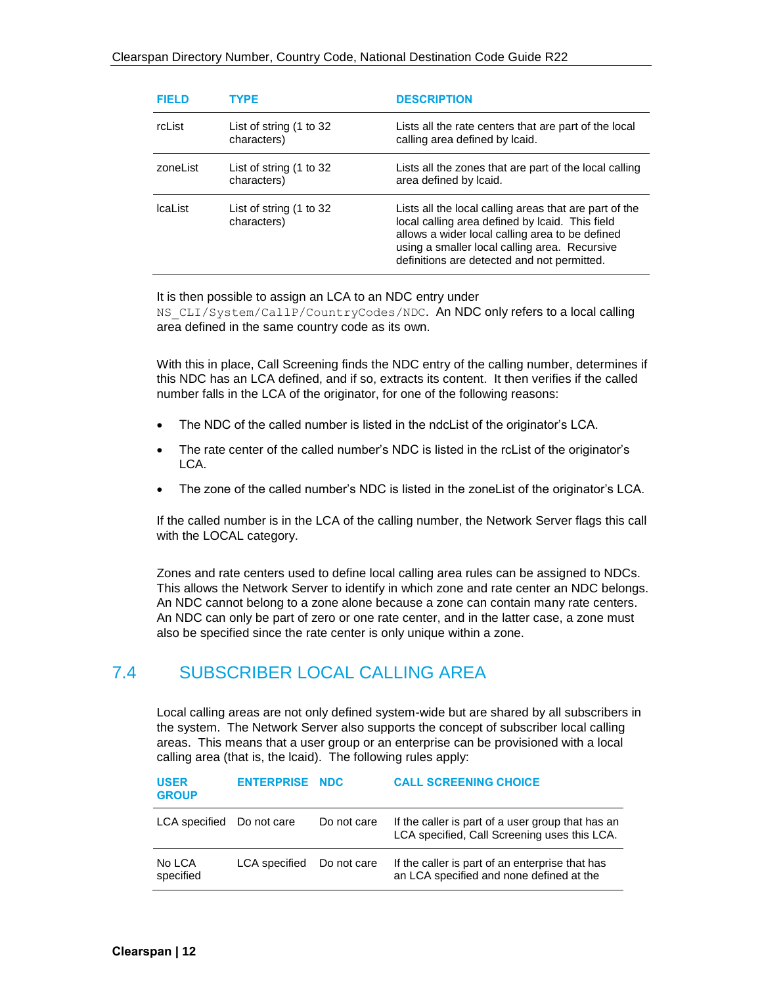| <b>FIFI D</b> | TYPF                                   | <b>DESCRIPTION</b>                                                                                                                                                                                                                                           |
|---------------|----------------------------------------|--------------------------------------------------------------------------------------------------------------------------------------------------------------------------------------------------------------------------------------------------------------|
| <b>rcList</b> | List of string (1 to 32<br>characters) | Lists all the rate centers that are part of the local<br>calling area defined by Icaid.                                                                                                                                                                      |
| zoneList      | List of string (1 to 32<br>characters) | Lists all the zones that are part of the local calling<br>area defined by Icaid.                                                                                                                                                                             |
| Ical ist      | List of string (1 to 32<br>characters) | Lists all the local calling areas that are part of the<br>local calling area defined by Icaid. This field<br>allows a wider local calling area to be defined<br>using a smaller local calling area. Recursive<br>definitions are detected and not permitted. |

It is then possible to assign an LCA to an NDC entry under NS CLI/System/CallP/CountryCodes/NDC. An NDC only refers to a local calling area defined in the same country code as its own.

With this in place, Call Screening finds the NDC entry of the calling number, determines if this NDC has an LCA defined, and if so, extracts its content. It then verifies if the called number falls in the LCA of the originator, for one of the following reasons:

- The NDC of the called number is listed in the ndcList of the originator's LCA.
- The rate center of the called number's NDC is listed in the rcList of the originator's LCA.
- The zone of the called number's NDC is listed in the zoneList of the originator's LCA.

If the called number is in the LCA of the calling number, the Network Server flags this call with the LOCAL category.

Zones and rate centers used to define local calling area rules can be assigned to NDCs. This allows the Network Server to identify in which zone and rate center an NDC belongs. An NDC cannot belong to a zone alone because a zone can contain many rate centers. An NDC can only be part of zero or one rate center, and in the latter case, a zone must also be specified since the rate center is only unique within a zone.

#### 7.4 SUBSCRIBER LOCAL CALLING AREA

Local calling areas are not only defined system-wide but are shared by all subscribers in the system. The Network Server also supports the concept of subscriber local calling areas. This means that a user group or an enterprise can be provisioned with a local calling area (that is, the lcaid). The following rules apply:

| <b>USER</b><br><b>GROUP</b> | <b>ENTERPRISE NDC</b> |             | <b>CALL SCREENING CHOICE</b>                                                                      |
|-----------------------------|-----------------------|-------------|---------------------------------------------------------------------------------------------------|
| LCA specified Do not care   |                       | Do not care | If the caller is part of a user group that has an<br>LCA specified, Call Screening uses this LCA. |
| No LCA<br>specified         | <b>LCA</b> specified  | Do not care | If the caller is part of an enterprise that has<br>an LCA specified and none defined at the       |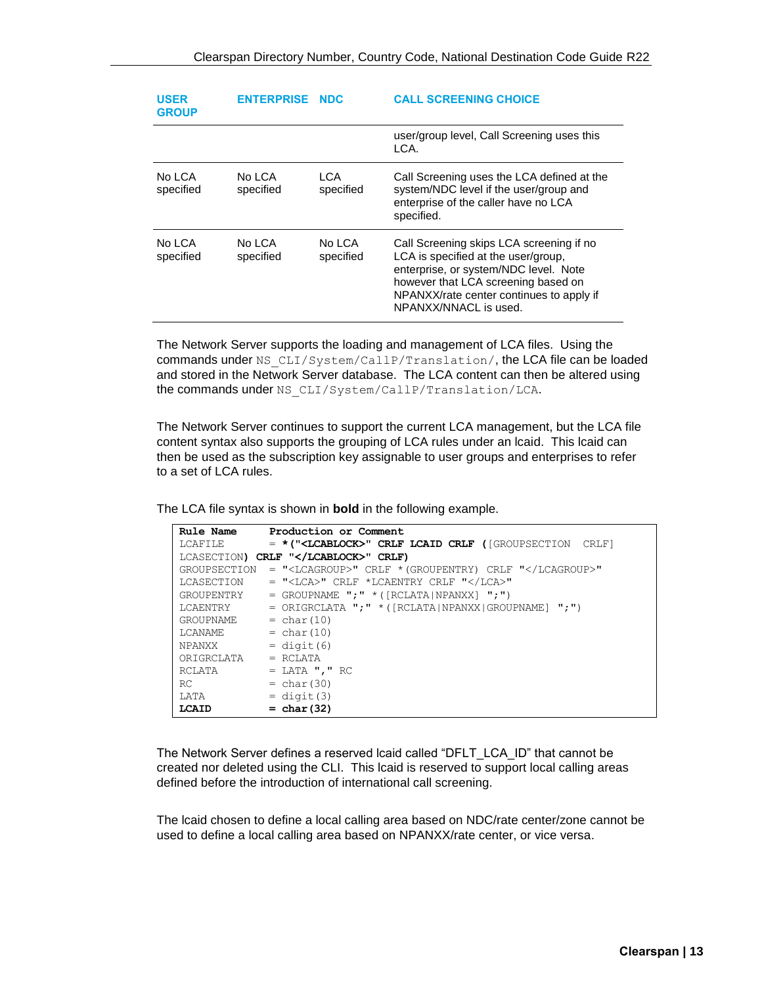| <b>USER</b><br><b>GROUP</b> | <b>ENTERPRISE NDC</b> |                     | <b>CALL SCREENING CHOICE</b>                                                                                                                                                                                                         |
|-----------------------------|-----------------------|---------------------|--------------------------------------------------------------------------------------------------------------------------------------------------------------------------------------------------------------------------------------|
|                             |                       |                     | user/group level, Call Screening uses this<br>LCA.                                                                                                                                                                                   |
| No LCA<br>specified         | No LCA<br>specified   | LCA.<br>specified   | Call Screening uses the LCA defined at the<br>system/NDC level if the user/group and<br>enterprise of the caller have no LCA<br>specified.                                                                                           |
| No LCA<br>specified         | No LCA<br>specified   | No LCA<br>specified | Call Screening skips LCA screening if no<br>LCA is specified at the user/group,<br>enterprise, or system/NDC level. Note<br>however that LCA screening based on<br>NPANXX/rate center continues to apply if<br>NPANXX/NNACL is used. |

The Network Server supports the loading and management of LCA files. Using the commands under NS\_CLI/System/CallP/Translation/, the LCA file can be loaded and stored in the Network Server database. The LCA content can then be altered using the commands under NS\_CLI/System/CallP/Translation/LCA.

The Network Server continues to support the current LCA management, but the LCA file content syntax also supports the grouping of LCA rules under an lcaid. This lcaid can then be used as the subscription key assignable to user groups and enterprises to refer to a set of LCA rules.

The LCA file syntax is shown in **bold** in the following example.

| <b>Rule Name</b>  | Production or Comment                                               |
|-------------------|---------------------------------------------------------------------|
| LCAFILE           | $=$ *(" <lcablock>" CRLF LCAID CRLF ([GROUPSECTION CRLF]</lcablock> |
|                   | LCASECTION) CRLF "" CRLF)                                           |
| GROUPSECTION      | $=$ " <lcagroup>" CRLF * (GROUPENTRY) CRLF "</lcagroup> "           |
| <b>LCASECTION</b> | = " <lca>" CRLF *LCAENTRY CRLF "</lca> "                            |
| GROUPENTRY        | $=$ GROUPNAME ";" * ([RCLATA NPANXX] ";")                           |
| LCAENTRY          | $=$ ORIGRCLATA $"\cdot"$ $*$ ([RCLATA NPANXX GROUPNAME] $"\cdot"$ ) |
| GROUPNAME         | $= char(10)$                                                        |
| LCANAME           | $= char(10)$                                                        |
| NPANXX            | $=$ digit $(6)$                                                     |
| ORIGRCLATA        | $=$ RCLATA                                                          |
| RCLATA            | $=$ LATA ", " RC                                                    |
| RC                | $= char(30)$                                                        |
| LATA              | $=$ digit $(3)$                                                     |
| LCAID             | $= char(32)$                                                        |

The Network Server defines a reserved lcaid called "DFLT\_LCA\_ID" that cannot be created nor deleted using the CLI. This lcaid is reserved to support local calling areas defined before the introduction of international call screening.

The lcaid chosen to define a local calling area based on NDC/rate center/zone cannot be used to define a local calling area based on NPANXX/rate center, or vice versa.